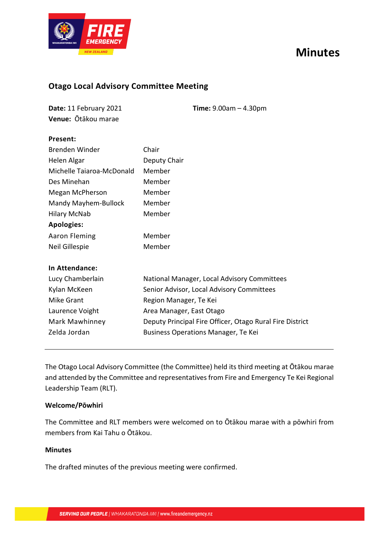



# **Otago Local Advisory Committee Meeting**

| Date: 11 February 2021 | <b>Time:</b> $9.00am - 4.30pm$ |
|------------------------|--------------------------------|
| Venue: Ōtākou marae    |                                |

# **Present:**

| Brenden Winder            | Chair                                                    |
|---------------------------|----------------------------------------------------------|
| Helen Algar               | Deputy Chair                                             |
| Michelle Taiaroa-McDonald | Member                                                   |
| Des Minehan               | Member                                                   |
| Megan McPherson           | Member                                                   |
| Mandy Mayhem-Bullock      | Member                                                   |
| <b>Hilary McNab</b>       | Member                                                   |
| <b>Apologies:</b>         |                                                          |
| <b>Aaron Fleming</b>      | Member                                                   |
| Neil Gillespie            | Member                                                   |
| In Attendance:            |                                                          |
| Lucy Chamberlain          | National Manager, Local Advisory Committees              |
| Kylan McKeen              | Senior Advisor, Local Advisory Committees                |
| <b>Mike Grant</b>         | Region Manager, Te Kei                                   |
| Laurence Voight           | Area Manager, East Otago                                 |
| Mark Mawhinney            | Deputy Principal Fire Officer, Otago Rural Fire District |
| Zelda Jordan              | <b>Business Operations Manager, Te Kei</b>               |

The Otago Local Advisory Committee (the Committee) held its third meeting at Ōtākou marae and attended by the Committee and representatives from Fire and Emergency Te Kei Regional Leadership Team (RLT).

# **Welcome/Pōwhiri**

The Committee and RLT members were welcomed on to Ōtākou marae with a pōwhiri from members from Kai Tahu o Ōtākou.

# **Minutes**

The drafted minutes of the previous meeting were confirmed.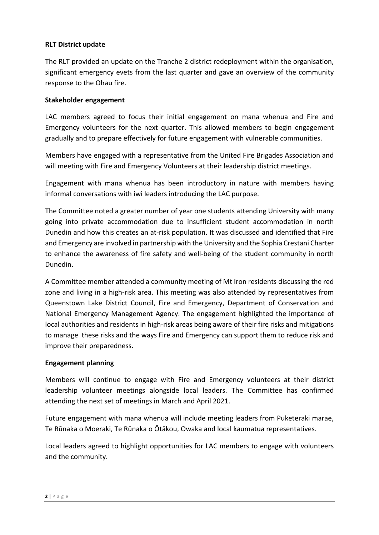## **RLT District update**

The RLT provided an update on the Tranche 2 district redeployment within the organisation, significant emergency evets from the last quarter and gave an overview of the community response to the Ohau fire.

#### **Stakeholder engagement**

LAC members agreed to focus their initial engagement on mana whenua and Fire and Emergency volunteers for the next quarter. This allowed members to begin engagement gradually and to prepare effectively for future engagement with vulnerable communities.

Members have engaged with a representative from the United Fire Brigades Association and will meeting with Fire and Emergency Volunteers at their leadership district meetings.

Engagement with mana whenua has been introductory in nature with members having informal conversations with iwi leaders introducing the LAC purpose.

The Committee noted a greater number of year one students attending University with many going into private accommodation due to insufficient student accommodation in north Dunedin and how this creates an at-risk population. It was discussed and identified that Fire and Emergency are involved in partnership with the University and the Sophia Crestani Charter to enhance the awareness of fire safety and well-being of the student community in north Dunedin.

A Committee member attended a community meeting of Mt Iron residents discussing the red zone and living in a high-risk area. This meeting was also attended by representatives from Queenstown Lake District Council, Fire and Emergency, Department of Conservation and National Emergency Management Agency. The engagement highlighted the importance of local authorities and residents in high-risk areas being aware of their fire risks and mitigations to manage these risks and the ways Fire and Emergency can support them to reduce risk and improve their preparedness.

#### **Engagement planning**

Members will continue to engage with Fire and Emergency volunteers at their district leadership volunteer meetings alongside local leaders. The Committee has confirmed attending the next set of meetings in March and April 2021.

Future engagement with mana whenua will include meeting leaders from Puketeraki marae, Te Rūnaka o Moeraki, Te Rūnaka o Ōtākou, Owaka and local kaumatua representatives.

Local leaders agreed to highlight opportunities for LAC members to engage with volunteers and the community.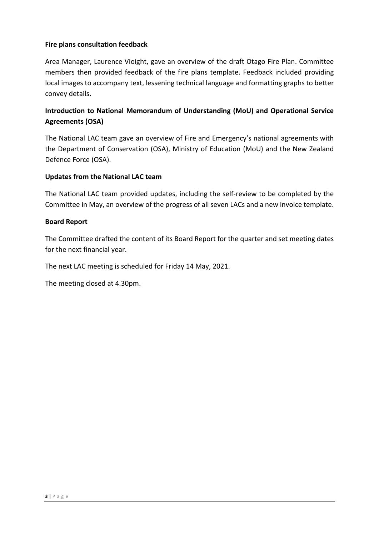# **Fire plans consultation feedback**

Area Manager, Laurence Vioight, gave an overview of the draft Otago Fire Plan. Committee members then provided feedback of the fire plans template. Feedback included providing local images to accompany text, lessening technical language and formatting graphs to better convey details.

# **Introduction to National Memorandum of Understanding (MoU) and Operational Service Agreements (OSA)**

The National LAC team gave an overview of Fire and Emergency's national agreements with the Department of Conservation (OSA), Ministry of Education (MoU) and the New Zealand Defence Force (OSA).

#### **Updates from the National LAC team**

The National LAC team provided updates, including the self-review to be completed by the Committee in May, an overview of the progress of all seven LACs and a new invoice template.

#### **Board Report**

The Committee drafted the content of its Board Report for the quarter and set meeting dates for the next financial year.

The next LAC meeting is scheduled for Friday 14 May, 2021.

The meeting closed at 4.30pm.